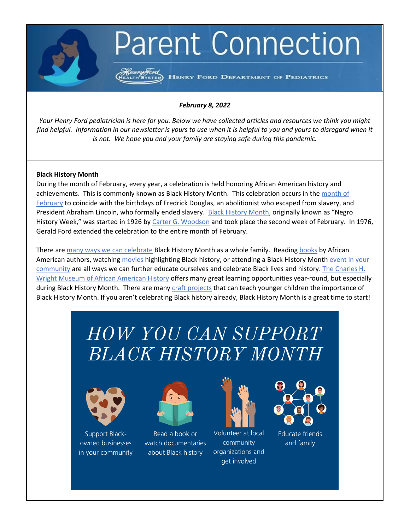# **Parent Connection**

HENRY FORD DEPARTMENT OF PEDIATRICS

## *February 8, 2022*

*Your Henry Ford pediatrician is here for you. Below we have collected articles and resources we think you might find helpful. Information in our newsletter is yours to use when it is helpful to you and yours to disregard when it is not. We hope you and your family are staying safe during this pandemic.*

#### **Black History Month**

During the month of February, every year, a celebration is held honoring African American history and achievements. This is commonly known as Black History Month. This celebration occurs in the month of [February](https://www.oprahdaily.com/life/a26077992/why-is-black-history-month-in-february/) to coincide with the birthdays of Fredrick Douglas, an abolitionist who escaped from slavery, and President Abraham Lincoln, who formally ended slavery. [Black History Month,](https://kids.nationalgeographic.com/explore/history/black-history-month/) originally known as "Negro History Week," was started in 1926 b[y Carter G. Woodson](https://www.history.com/topics/black-history/black-history-month) and took place the second week of February. In 1976, Gerald Ford extended the celebration to the entire month of February.

There ar[e many ways we can celebrate](https://visitdetroit.com/black-history-month-detroit/) Black History Month as a whole family. Reading [books](https://www.readingrockets.org/calendar/blackhistory) by African American authors, watching [movies](https://www.usatoday.com/story/life/allthemoms/2019/01/21/great-black-history-movies-watch-with-families-kids/2619269002/) highlighting Black history, or attending a Black History Month event in your [community](https://www.metroparent.com/things-to-do/guides/black-history-month-family-events-southeast-michigan/) are all ways we can further educate ourselves and celebrate Black lives and history[. The Charles H.](https://www.thewright.org/)  [Wright Museum of African American History](https://www.thewright.org/) offers many great learning opportunities year-round, but especially during Black History Month. There are many [craft projects](https://www.creativechild.com/articles/view/29-days-of-crafts-for-black-history-month) that can teach younger children the importance of Black History Month. If you aren't celebrating Black history already, Black History Month is a great time to start!

# **HOW YOU CAN SUPPORT BLACK HISTORY MONTH**



Support Blackowned businesses in your community



Read a book or watch documentaries about Black history



Volunteer at local community organizations and get involved



**Educate friends** and family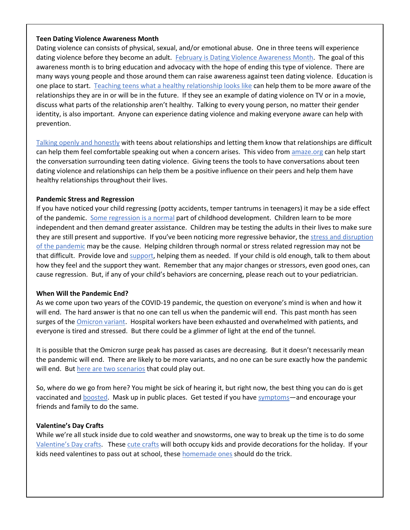### **Teen Dating Violence Awareness Month**

Dating violence can consists of physical, sexual, and/or emotional abuse. One in three teens will experience dating violence before they become an adult. [February is Dating Violence Awareness Month.](https://www.loveisrespect.org/get-involved/tdvam/) The goal of this awareness month is to bring education and advocacy with the hope of ending this type of violence. There are many ways young people and those around them can raise awareness against teen dating violence. Education is one place to start. [Teaching teens what a healthy relationship looks like](https://www.plannedparenthood.org/learn/parents/high-school/what-should-i-teach-my-high-school-aged-teen-about-relationships) can help them to be more aware of the relationships they are in or will be in the future. If they see an example of dating violence on TV or in a movie, discuss what parts of the relationship aren't healthy. Talking to every young person, no matter their gender identity, is also important. Anyone can experience dating violence and making everyone aware can help with prevention.

[Talking openly and honestly](https://www.teendvmonth.org/talk-teen-dating-violence/) with teens about relationships and letting them know that relationships are difficult can help them feel comfortable speaking out when a concern arises. This video fro[m amaze.org](https://amaze.org/tagged/?tag=dating-violence) can help start the conversation surrounding teen dating violence. Giving teens the tools to have conversations about teen dating violence and relationships can help them be a positive influence on their peers and help them have healthy relationships throughout their lives.

### **Pandemic Stress and Regression**

If you have noticed your child regressing (potty accidents, temper tantrums in teenagers) it may be a side effect of the pandemic. [Some regression is a normal](https://www.unicef.org/parenting/child-development/what-is-childhood-regression) part of childhood development. Children learn to be more independent and then demand greater assistance. Children may be testing the adults in their lives to make sure they are still present and supportive. If you've been noticing more regressive behavior, the [stress and disruption](https://www.webmd.com/lung/news/20200715/pandemic-causing-kids-to-regress-experts-say)  [of the pandemic](https://www.webmd.com/lung/news/20200715/pandemic-causing-kids-to-regress-experts-say) may be the cause. Helping children through normal or stress related regression may not be that difficult. Provide love and [support,](https://www.unitypoint.org/livewell/article.aspx?id=6984368d-4325-4a59-bda4-58b95909b740) helping them as needed. If your child is old enough, talk to them about how they feel and the support they want. Remember that any major changes or stressors, even good ones, can cause regression. But, if any of your child's behaviors are concerning, please reach out to your pediatrician.

#### **When Will the Pandemic End?**

As we come upon two years of the COVID-19 pandemic, the question on everyone's mind is when and how it will end. The hard answer is that no one can tell us when the pandemic will end. This past month has seen surges of th[e Omicron variant.](https://www.henryford.com/blog/2022/01/omicron-variant) Hospital workers have been exhausted and overwhelmed with patients, and everyone is tired and stressed. But there could be a glimmer of light at the end of the tunnel.

It is possible that the Omicron surge peak has passed as cases are decreasing. But it doesn't necessarily mean the pandemic will end. There are likely to be more variants, and no one can be sure exactly how the pandemic will end. But [here are two scenarios](https://www.henryford.com/blog/2022/01/when-will-the-covid-pandemic-end) that could play out.

So, where do we go from here? You might be sick of hearing it, but right now, the best thing you can do is get vaccinated and [boosted.](https://www.henryford.com/blog/2022/01/booster-shots) Mask up in public places. Get tested if you have [symptoms](https://www.henryford.com/blog/2022/01/regaining-sense-of-smell-and-taste-after-covid)—and encourage your friends and family to do the same.

# **Valentine's Day Crafts**

While we're all stuck inside due to cold weather and snowstorms, one way to break up the time is to do some [Valentine's Day crafts](https://www.purewow.com/family/valentines-crafts-for-kids). These [cute crafts](https://www.thebump.com/a/valentines-crafts-for-kids) will both occupy kids and provide decorations for the holiday. If your kids need valentines to pass out at school, these [homemade ones](https://www.artbarblog.com/valentines-made-by-hand-24-ideas/) should do the trick.